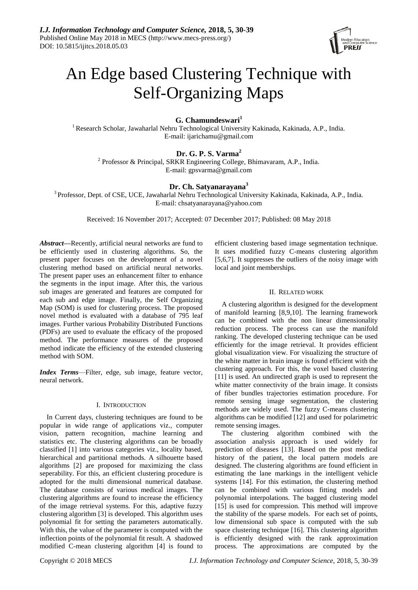

# An Edge based Clustering Technique with Self-Organizing Maps

# **G. Chamundeswari<sup>1</sup>**

<sup>1</sup>Research Scholar, Jawaharlal Nehru Technological University Kakinada, Kakinada, A.P., India. E-mail: ijarichamu@gmail.com

# **Dr. G. P. S. Varma<sup>2</sup>**

<sup>2</sup> Professor & Principal, SRKR Engineering College, Bhimavaram, A.P., India. E-mail: gpsvarma@gmail.com

## **Dr. Ch. Satyanarayana<sup>3</sup>**

<sup>3</sup> Professor, Dept. of CSE, UCE, Jawaharlal Nehru Technological University Kakinada, Kakinada, A.P., India. E-mail: chsatyanarayana@yahoo.com

Received: 16 November 2017; Accepted: 07 December 2017; Published: 08 May 2018

*Abstract***—**Recently, artificial neural networks are fund to be efficiently used in clustering algorithms. So, the present paper focuses on the development of a novel clustering method based on artificial neural networks. The present paper uses an enhancement filter to enhance the segments in the input image. After this, the various sub images are generated and features are computed for each sub and edge image. Finally, the Self Organizing Map (SOM) is used for clustering process. The proposed novel method is evaluated with a database of 795 leaf images. Further various Probability Distributed Functions (PDFs) are used to evaluate the efficacy of the proposed method. The performance measures of the proposed method indicate the efficiency of the extended clustering method with SOM.

*Index Terms*—Filter, edge, sub image, feature vector, neural network.

#### I. INTRODUCTION

In Current days, clustering techniques are found to be popular in wide range of applications viz., computer vision, pattern recognition, machine learning and statistics etc. The clustering algorithms can be broadly classified [1] into various categories viz., locality based, hierarchical and partitional methods. A silhouette based algorithms [2] are proposed for maximizing the class seperability. For this, an efficient clustering procedure is adopted for the multi dimensional numerical database. The database consists of various medical images. The clustering algorithms are found to increase the efficiency of the image retrieval systems. For this, adaptive fuzzy clustering algorithm [3] is developed. This algorithm uses polynomial fit for setting the parameters automatically. With this, the value of the parameter is computed with the inflection points of the polynomial fit result. A shadowed modified C-mean clustering algorithm [4] is found to

efficient clustering based image segmentation technique. It uses modified fuzzy C-means clustering algorithm [5,6,7]. It suppresses the outliers of the noisy image with local and joint memberships.

### II. RELATED WORK

A clustering algorithm is designed for the development of manifold learning [8,9,10]. The learning framework can be combined with the non linear dimensionality reduction process. The process can use the manifold ranking. The developed clustering technique can be used efficiently for the image retrieval. It provides efficient global visualization view. For visualizing the structure of the white matter in brain image is found efficient with the clustering approach. For this, the voxel based clustering [11] is used. An undirected graph is used to represent the white matter connectivity of the brain image. It consists of fiber bundles trajectories estimation procedure. For remote sensing image segmentation, the clustering methods are widely used. The fuzzy C-means clustering algorithms can be modified [12] and used for polarimetric remote sensing images.

The clustering algorithm combined with the association analysis approach is used widely for prediction of diseases [13]. Based on the post medical history of the patient, the local pattern models are designed. The clustering algorithms are found efficient in estimating the lane markings in the intelligent vehicle systems [14]. For this estimation, the clustering method can be combined with various fitting models and polynomial interpolations. The bagged clustering model [15] is used for compression. This method will improve the stability of the sparse models. For each set of points, low dimensional sub space is computed with the sub space clustering technique [16]. This clustering algorithm is efficiently designed with the rank approximation process. The approximations are computed by the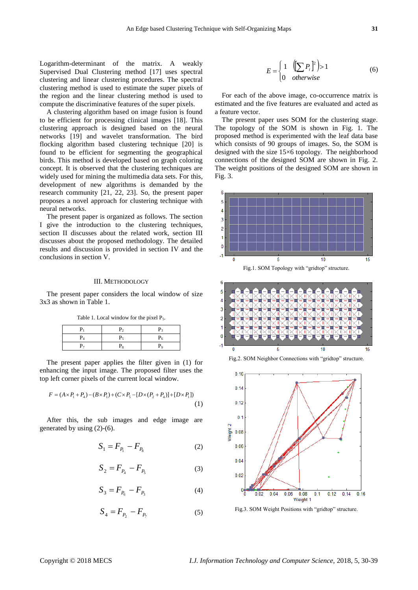Logarithm-determinant of the matrix. A weakly Supervised Dual Clustering method [17] uses spectral clustering and linear clustering procedures. The spectral clustering method is used to estimate the super pixels of the region and the linear clustering method is used to compute the discriminative features of the super pixels.

A clustering algorithm based on image fusion is found to be efficient for processing clinical images [18]. This clustering approach is designed based on the neural networks [19] and wavelet transformation. The bird flocking algorithm based clustering technique [20] is found to be efficient for segmenting the geographical birds. This method is developed based on graph coloring concept. It is observed that the clustering techniques are widely used for mining the multimedia data sets. For this, development of new algorithms is demanded by the research community [21, 22, 23]. So, the present paper proposes a novel approach for clustering technique with neural networks.

The present paper is organized as follows. The section I give the introduction to the clustering techniques, section II discusses about the related work, section III discusses about the proposed methodology. The detailed results and discussion is provided in section IV and the conclusions in section V.

## III. METHODOLOGY

The present paper considers the local window of size 3x3 as shown in Table 1.

Table 1. Local window for the pixel P<sub>5</sub>.

|           | $P_{2}$ | P <sub>3</sub> |
|-----------|---------|----------------|
| $\rm P_4$ | P٢      |                |
| P7        | P,      | Po             |

The present paper applies the filter given in (1) for enhancing the input image. The proposed filter uses the top left corner pixels of the current local window.

$$
F = (A \times P_1 + P_4) - (B \times P_1) + (C \times P_5 - [D \times (P_2 + P_4)] + [D \times P_1])
$$
\n(1)

After this, the sub images and edge image are generated by using (2)-(6).

$$
S_1 = F_{P_1} - F_{P_8} \tag{2}
$$

$$
S_2 = F_{P_4} - F_{P_5} \tag{3}
$$

$$
S_3 = F_{P_6} - F_{P_3} \tag{4}
$$

$$
S_4 = F_{P_2} - F_{P_7} \tag{5}
$$

$$
E = \begin{cases} 1 & \left( \sum P_i \right)^2 > 1 \\ 0 & otherwise \end{cases} \tag{6}
$$

For each of the above image, co-occurrence matrix is estimated and the five features are evaluated and acted as a feature vector.

The present paper uses SOM for the clustering stage. The topology of the SOM is shown in Fig. 1. The proposed method is experimented with the leaf data base which consists of 90 groups of images. So, the SOM is designed with the size 15×6 topology. The neighborhood connections of the designed SOM are shown in Fig. 2. The weight positions of the designed SOM are shown in Fig. 3.









Fig.3. SOM Weight Positions with "gridtop" structure.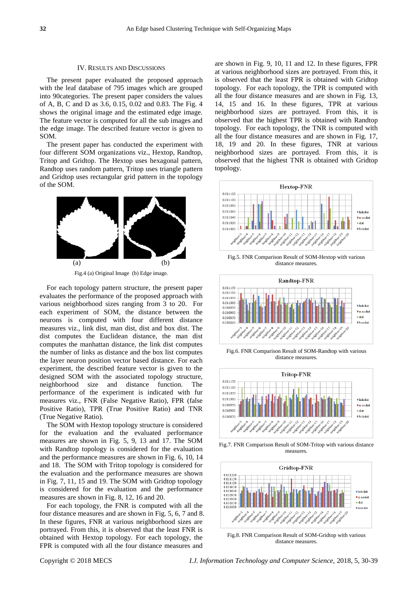#### IV. RESULTS AND DISCUSSIONS

The present paper evaluated the proposed approach with the leaf database of 795 images which are grouped into 90categories. The present paper considers the values of A, B, C and D as 3.6, 0.15, 0.02 and 0.83. The Fig. 4 shows the original image and the estimated edge image. The feature vector is computed for all the sub images and the edge image. The described feature vector is given to SOM.

The present paper has conducted the experiment with four different SOM organizations viz., Hextop, Randtop, Tritop and Gridtop. The Hextop uses hexagonal pattern, Randtop uses random pattern, Tritop uses triangle pattern and Gridtop uses rectangular grid pattern in the topology of the SOM.



Fig.4 (a) Original Image (b) Edge image.

For each topology pattern structure, the present paper evaluates the performance of the proposed approach with various neighborhood sizes ranging from 3 to 20. For each experiment of SOM, the distance between the neurons is computed with four different distance measures viz., link dist, man dist, dist and box dist. The dist computes the Euclidean distance, the man dist computes the manhattan distance, the link dist computes the number of links as distance and the box list computes the layer neuron position vector based distance. For each experiment, the described feature vector is given to the designed SOM with the associated topology structure, neighborhood size and distance function. The performance of the experiment is indicated with fur measures viz., FNR (False Negative Ratio), FPR (false Positive Ratio), TPR (True Positive Ratio) and TNR (True Negative Ratio).

The SOM with Hextop topology structure is considered for the evaluation and the evaluated performance measures are shown in Fig. 5, 9, 13 and 17. The SOM with Randtop topology is considered for the evaluation and the performance measures are shown in Fig. 6, 10, 14 and 18. The SOM with Tritop topology is considered for the evaluation and the performance measures are shown in Fig. 7, 11, 15 and 19. The SOM with Gridtop topology is considered for the evaluation and the performance measures are shown in Fig. 8, 12, 16 and 20.

For each topology, the FNR is computed with all the four distance measures and are shown in Fig. 5, 6, 7 and 8. In these figures, FNR at various neighborhood sizes are portrayed. From this, it is observed that the least FNR is obtained with Hextop topology. For each topology, the FPR is computed with all the four distance measures and

are shown in Fig. 9, 10, 11 and 12. In these figures, FPR at various neighborhood sizes are portrayed. From this, it is observed that the least FPR is obtained with Gridtop topology. For each topology, the TPR is computed with all the four distance measures and are shown in Fig. 13, 14, 15 and 16. In these figures, TPR at various neighborhood sizes are portrayed. From this, it is observed that the highest TPR is obtained with Randtop topology. For each topology, the TNR is computed with all the four distance measures and are shown in Fig. 17, 18, 19 and 20. In these figures, TNR at various neighborhood sizes are portrayed. From this, it is observed that the highest TNR is obtained with Gridtop topology.



Fig.5. FNR Comparison Result of SOM-Hextop with various distance measures.



Fig.6. FNR Comparison Result of SOM-Randtop with various distance measures.



Fig.7. FNR Comparison Result of SOM-Tritop with various distance measures.



Fig.8. FNR Comparison Result of SOM-Gridtop with various distance measures.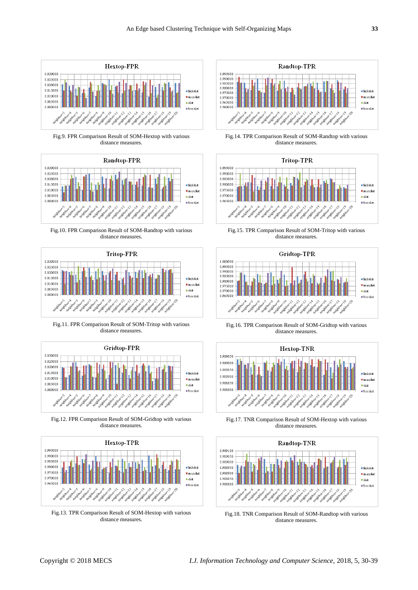

Fig.9. FPR Comparison Result of SOM-Hextop with various distance measures.



Fig.10. FPR Comparison Result of SOM-Randtop with various distance measures.



Fig.11. FPR Comparison Result of SOM-Tritop with various distance measures.



Fig.12. FPR Comparison Result of SOM-Gridtop with various distance measures.



Fig.13. TPR Comparison Result of SOM-Hextop with various distance measures.



Fig.14. TPR Comparison Result of SOM-Randtop with various distance measures.



Fig.15. TPR Comparison Result of SOM-Tritop with various distance measures.



Fig.16. TPR Comparison Result of SOM-Gridtop with various distance measures.



Fig.17. TNR Comparison Result of SOM-Hextop with various distance measures.



Fig.18. TNR Comparison Result of SOM-Randtop with various distance measures.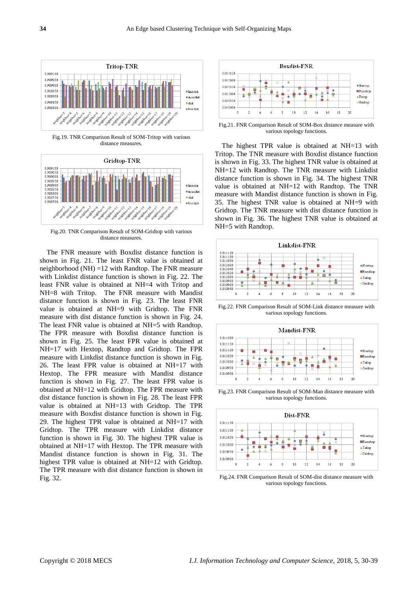

Fig.19. TNR Comparison Result of SOM-Tritop with various distance measures.



Fig.20. TNR Comparison Result of SOM-Gridtop with various distance measures.

The FNR measure with Boxdist distance function is shown in Fig. 21. The least FNR value is obtained at neighborhood (NH) =12 with Randtop. The FNR measure with Linkdist distance function is shown in Fig. 22. The least FNR value is obtained at NH=4 with Tritop and NH=8 with Tritop. The FNR measure with Mandist distance function is shown in Fig. 23. The least FNR value is obtained at NH=9 with Gridtop. The FNR measure with dist distance function is shown in Fig. 24. The least FNR value is obtained at NH=5 with Randtop. The FPR measure with Boxdist distance function is shown in Fig. 25. The least FPR value is obtained at NH=17 with Hextop, Randtop and Gridtop. The FPR measure with Linkdist distance function is shown in Fig. 26. The least FPR value is obtained at NH=17 with Hextop. The FPR measure with Mandist distance function is shown in Fig. 27. The least FPR value is obtained at NH=12 with Gridtop. The FPR measure with dist distance function is shown in Fig. 28. The least FPR value is obtained at NH=13 with Gridtop. The TPR measure with Boxdist distance function is shown in Fig. 29. The highest TPR value is obtained at NH=17 with Gridtop. The TPR measure with Linkdist distance function is shown in Fig. 30. The highest TPR value is obtained at NH=17 with Hextop. The TPR measure with Mandist distance function is shown in Fig. 31. The highest TPR value is obtained at NH=12 with Gridtop. The TPR measure with dist distance function is shown in Fig. 32.



Fig.21. FNR Comparison Result of SOM-Box distance measure with various topology functions.

The highest TPR value is obtained at NH=13 with Tritop. The TNR measure with Boxdist distance function is shown in Fig. 33. The highest TNR value is obtained at NH=12 with Randtop. The TNR measure with Linkdist distance function is shown in Fig. 34. The highest TNR value is obtained at NH=12 with Randtop. The TNR measure with Mandist distance function is shown in Fig. 35. The highest TNR value is obtained at NH=9 with Gridtop. The TNR measure with dist distance function is shown in Fig. 36. The highest TNR value is obtained at NH=5 with Randtop.



Fig.22. FNR Comparison Result of SOM-Link distance measure with various topology functions.



Fig.23. FNR Comparison Result of SOM-Man distance measure with various topology functions.



Fig.24. FNR Comparison Result of SOM-dist distance measure with various topology functions.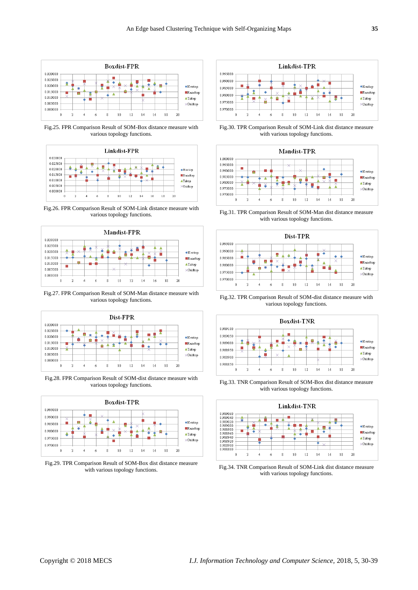

Fig.25. FPR Comparison Result of SOM-Box distance measure with various topology functions.



Fig.26. FPR Comparison Result of SOM-Link distance measure with various topology functions.



Fig.27. FPR Comparison Result of SOM-Man distance measure with various topology functions.







Fig.29. TPR Comparison Result of SOM-Box dist distance measure with various topology functions.



Fig.30. TPR Comparison Result of SOM-Link dist distance measure with various topology functions.



Fig.31. TPR Comparison Result of SOM-Man dist distance measure with various topology functions.



Fig.32. TPR Comparison Result of SOM-dist distance measure with various topology functions.



Fig.33. TNR Comparison Result of SOM-Box dist distance measure with various topology functions.



Fig.34. TNR Comparison Result of SOM-Link dist distance measure with various topology functions.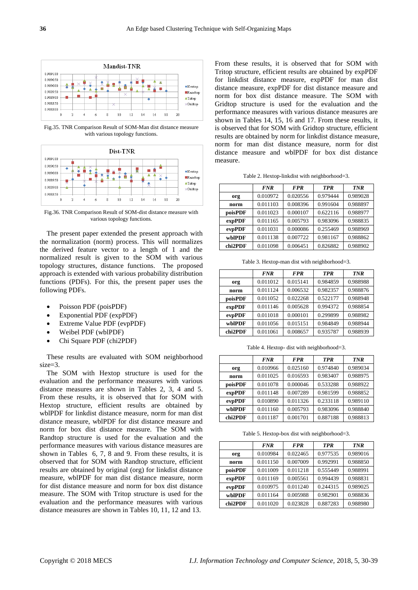

Fig.35. TNR Comparison Result of SOM-Man dist distance measure with various topology functions.



Fig.36. TNR Comparison Result of SOM-dist distance measure with various topology functions.

The present paper extended the present approach with the normalization (norm) process. This will normalizes the derived feature vector to a length of 1 and the normalized result is given to the SOM with various topology structures, distance functions. The proposed approach is extended with various probability distribution functions (PDFs). For this, the present paper uses the following PDFs.

- Poisson PDF (poisPDF)
- Exponential PDF (expPDF)
- Extreme Value PDF (evpPDF)
- Weibel PDF (wblPDF)
- Chi Square PDF (chi2PDF)

These results are evaluated with SOM neighborhood size=3.

The SOM with Hextop structure is used for the evaluation and the performance measures with various distance measures are shown in Tables 2, 3, 4 and 5. From these results, it is observed that for SOM with Hextop structure, efficient results are obtained by wblPDF for linkdist distance measure, norm for man dist distance measure, wblPDF for dist distance measure and norm for box dist distance measure. The SOM with Randtop structure is used for the evaluation and the performance measures with various distance measures are shown in Tables 6, 7, 8 and 9. From these results, it is observed that for SOM with Randtop structure, efficient results are obtained by original (org) for linkdist distance measure, wblPDF for man dist distance measure, norm for dist distance measure and norm for box dist distance measure. The SOM with Tritop structure is used for the evaluation and the performance measures with various distance measures are shown in Tables 10, 11, 12 and 13.

From these results, it is observed that for SOM with Tritop structure, efficient results are obtained by expPDF for linkdist distance measure, expPDF for man dist distance measure, expPDF for dist distance measure and norm for box dist distance measure. The SOM with Gridtop structure is used for the evaluation and the performance measures with various distance measures are shown in Tables 14, 15, 16 and 17. From these results, it is observed that for SOM with Gridtop structure, efficient results are obtained by norm for linkdist distance measure, norm for man dist distance measure, norm for dist distance measure and wblPDF for box dist distance measure.

Table 2. Hextop-linkdist with neighborhood=3.

|         | <b>FNR</b> | <b>FPR</b> | <b>TPR</b> | <b>TNR</b> |
|---------|------------|------------|------------|------------|
| org     | 0.010972   | 0.020556   | 0.979444   | 0.989028   |
| norm    | 0.011103   | 0.008396   | 0.991604   | 0.988897   |
| poisPDF | 0.011023   | 0.000107   | 0.622116   | 0.988977   |
| expPDF  | 0.011165   | 0.005793   | 0.983096   | 0.988835   |
| evpPDF  | 0.011031   | 0.000086   | 0.255469   | 0.988969   |
| wblPDF  | 0.011138   | 0.007722   | 0.981167   | 0.988862   |
| chi2PDF | 0.011098   | 0.006451   | 0.826882   | 0.988902   |

Table 3. Hextop-man dist with neighborhood=3.

|         | <b>FNR</b> | <b>FPR</b> | <b>TPR</b> | <b>TNR</b> |
|---------|------------|------------|------------|------------|
| org     | 0.011012   | 0.015141   | 0.984859   | 0.988988   |
| norm    | 0.011124   | 0.006532   | 0.982357   | 0.988876   |
| poisPDF | 0.011052   | 0.022268   | 0.522177   | 0.988948   |
| expPDF  | 0.011146   | 0.005628   | 0.994372   | 0.988854   |
| evpPDF  | 0.011018   | 0.000101   | 0.299899   | 0.988982   |
| wblPDF  | 0.011056   | 0.015151   | 0.984849   | 0.988944   |
| chi2PDF | 0.011061   | 0.008657   | 0.935787   | 0.988939   |

Table 4. Hextop- dist with neighborhood=3.

|         | <b>FNR</b> | <b>FPR</b> | <b>TPR</b> | <b>TNR</b> |
|---------|------------|------------|------------|------------|
| org     | 0.010966   | 0.025160   | 0.974840   | 0.989034   |
| norm    | 0.011025   | 0.016593   | 0.983407   | 0.988975   |
| poisPDF | 0.011078   | 0.000046   | 0.533288   | 0.988922   |
| expPDF  | 0.011148   | 0.007289   | 0.981599   | 0.988852   |
| evpPDF  | 0.010890   | 0.011326   | 0.233118   | 0.989110   |
| wblPDF  | 0.011160   | 0.005793   | 0.983096   | 0.988840   |
| chi2PDF | 0.011187   | 0.001701   | 0.887188   | 0.988813   |

Table 5. Hextop-box dist with neighborhood=3.

|         | <b>FNR</b> | <b>FPR</b> | <b>TPR</b> | <b>TNR</b> |
|---------|------------|------------|------------|------------|
| org     | 0.010984   | 0.022465   | 0.977535   | 0.989016   |
| norm    | 0.011150   | 0.007009   | 0.992991   | 0.988850   |
| poisPDF | 0.011009   | 0.011218   | 0.555449   | 0.988991   |
| expPDF  | 0.011169   | 0.005561   | 0.994439   | 0.988831   |
| evpPDF  | 0.010975   | 0.011240   | 0.244315   | 0.989025   |
| wblPDF  | 0.011164   | 0.005988   | 0.982901   | 0.988836   |
| chi2PDF | 0.011020   | 0.023828   | 0.887283   | 0.988980   |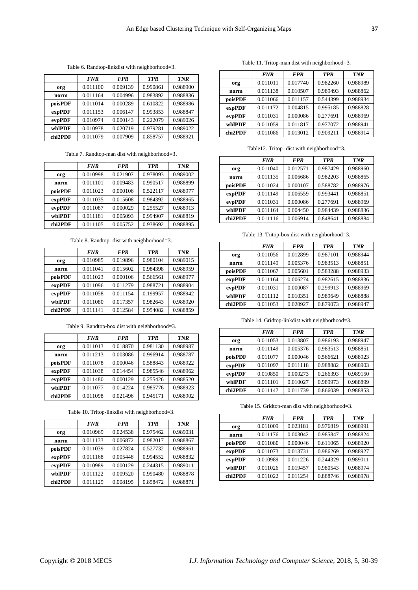Table 6. Randtop-linkdist with neighborhood=3.

|         | <b>FNR</b> | <b>FPR</b> | <b>TPR</b> | <b>TNR</b> |
|---------|------------|------------|------------|------------|
| org     | 0.011100   | 0.009139   | 0.990861   | 0.988900   |
| norm    | 0.011164   | 0.004996   | 0.983892   | 0.988836   |
| poisPDF | 0.011014   | 0.000289   | 0.610822   | 0.988986   |
| expPDF  | 0.011153   | 0.006147   | 0.993853   | 0.988847   |
| evpPDF  | 0.010974   | 0.000143   | 0.222079   | 0.989026   |
| whlPDF  | 0.010978   | 0.020719   | 0.979281   | 0.989022   |
| chi2PDF | 0.011079   | 0.007909   | 0.858757   | 0.988921   |

Table 7. Randtop-man dist with neighborhood=3.

|         | <b>FNR</b> | <b>FPR</b> | <b>TPR</b> | <b>TNR</b> |
|---------|------------|------------|------------|------------|
| org     | 0.010998   | 0.021907   | 0.978093   | 0.989002   |
| norm    | 0.011101   | 0.009483   | 0.990517   | 0.988899   |
| poisPDF | 0.011023   | 0.000106   | 0.522117   | 0.988977   |
| expPDF  | 0.011035   | 0.015608   | 0.984392   | 0.988965   |
| evpPDF  | 0.011087   | 0.000029   | 0.255527   | 0.988913   |
| wblPDF  | 0.011181   | 0.005093   | 0.994907   | 0.988819   |
| chi2PDF | 0.011105   | 0.005752   | 0.938692   | 0.988895   |

Table 8. Randtop- dist with neighborhood=3.

|         | <b>FNR</b> | <b>FPR</b> | <b>TPR</b> | <b>TNR</b> |
|---------|------------|------------|------------|------------|
| org     | 0.010985   | 0.019896   | 0.980104   | 0.989015   |
| norm    | 0.011041   | 0.015602   | 0.984398   | 0.988959   |
| poisPDF | 0.011023   | 0.000106   | 0.566561   | 0.988977   |
| expPDF  | 0.011096   | 0.011279   | 0.988721   | 0.988904   |
| evpPDF  | 0.011058   | 0.011154   | 0.199957   | 0.988942   |
| wblPDF  | 0.011080   | 0.017357   | 0.982643   | 0.988920   |
| chi2PDF | 0.011141   | 0.012584   | 0.954082   | 0.988859   |

Table 9. Randtop-box dist with neighborhood=3.

|         | <b>FNR</b> | <b>FPR</b> | <b>TPR</b> | <b>TNR</b> |
|---------|------------|------------|------------|------------|
| org     | 0.011013   | 0.018870   | 0.981130   | 0.988987   |
| norm    | 0.011213   | 0.003086   | 0.996914   | 0.988787   |
| poisPDF | 0.011078   | 0.000046   | 0.588843   | 0.988922   |
| expPDF  | 0.011038   | 0.014454   | 0.985546   | 0.988962   |
| evpPDF  | 0.011480   | 0.000129   | 0.255426   | 0.988520   |
| whlPDF  | 0.011077   | 0.014224   | 0.985776   | 0.988923   |
| chi2PDF | 0.011098   | 0.021496   | 0.945171   | 0.988902   |

Table 10. Tritop-linkdist with neighborhood=3.

|         | <b>FNR</b> | <b>FPR</b> | <b>TPR</b> | <b>TNR</b> |
|---------|------------|------------|------------|------------|
| org     | 0.010969   | 0.024538   | 0.975462   | 0.989031   |
| norm    | 0.011133   | 0.006872   | 0.982017   | 0.988867   |
| poisPDF | 0.011039   | 0.027824   | 0.527732   | 0.988961   |
| expPDF  | 0.011168   | 0.005448   | 0.994552   | 0.988832   |
| evpPDF  | 0.010989   | 0.000129   | 0.244315   | 0.989011   |
| whlPDF  | 0.011122   | 0.009520   | 0.990480   | 0.988878   |
| chi2PDF | 0.011129   | 0.008195   | 0.858472   | 0.988871   |

Table 11. Tritop-man dist with neighborhood=3.

|         | <b>FNR</b> | <b>FPR</b> | <b>TPR</b> | <b>TNR</b> |
|---------|------------|------------|------------|------------|
| org     | 0.011011   | 0.017740   | 0.982260   | 0.988989   |
| norm    | 0.011138   | 0.010507   | 0.989493   | 0.988862   |
| poisPDF | 0.011066   | 0.011157   | 0.544399   | 0.988934   |
| expPDF  | 0.011172   | 0.004815   | 0.995185   | 0.988828   |
| evpPDF  | 0.011031   | 0.000086   | 0.277691   | 0.988969   |
| wblPDF  | 0.011059   | 0.011817   | 0.977072   | 0.988941   |
| chi2PDF | 0.011086   | 0.013012   | 0.909211   | 0.988914   |

Table12. Tritop- dist with neighborhood=3.

|         | <b>FNR</b> | <b>FPR</b> | <b>TPR</b> | <b>TNR</b> |
|---------|------------|------------|------------|------------|
| org     | 0.011040   | 0.012571   | 0.987429   | 0.988960   |
| norm    | 0.011135   | 0.006686   | 0.982203   | 0.988865   |
| poisPDF | 0.011024   | 0.000107   | 0.588782   | 0.988976   |
| expPDF  | 0.011149   | 0.006559   | 0.993441   | 0.988851   |
| evpPDF  | 0.011031   | 0.000086   | 0.277691   | 0.988969   |
| wblPDF  | 0.011164   | 0.004450   | 0.984439   | 0.988836   |
| chi2PDF | 0.011116   | 0.006914   | 0.848641   | 0.988884   |

Table 13. Tritop-box dist with neighborhood=3.

|         | <b>FNR</b> | <b>FPR</b> | <b>TPR</b> | <b>TNR</b> |
|---------|------------|------------|------------|------------|
| org     | 0.011056   | 0.012899   | 0.987101   | 0.988944   |
| norm    | 0.011149   | 0.005376   | 0.983513   | 0.988851   |
| poisPDF | 0.011067   | 0.005601   | 0.583288   | 0.988933   |
| expPDF  | 0.011164   | 0.006274   | 0.982615   | 0.988836   |
| evpPDF  | 0.011031   | 0.000087   | 0.299913   | 0.988969   |
| wblPDF  | 0.011112   | 0.010351   | 0.989649   | 0.988888   |
| chi2PDF | 0.011053   | 0.020927   | 0.879073   | 0.988947   |

Table 14. Gridtop-linkdist with neighborhood=3.

|         | <b>FNR</b> | <b>FPR</b> | <b>TPR</b> | <b>TNR</b> |
|---------|------------|------------|------------|------------|
| org     | 0.011053   | 0.013807   | 0.986193   | 0.988947   |
| norm    | 0.011149   | 0.005376   | 0.983513   | 0.988851   |
| poisPDF | 0.011077   | 0.000046   | 0.566621   | 0.988923   |
| expPDF  | 0.011097   | 0.011118   | 0.988882   | 0.988903   |
| evpPDF  | 0.010850   | 0.000273   | 0.266393   | 0.989150   |
| wblPDF  | 0.011101   | 0.010027   | 0.989973   | 0.988899   |
| chi2PDF | 0.011147   | 0.011739   | 0.866039   | 0.988853   |

Table 15. Gridtop-man dist with neighborhood=3.

|         | <b>FNR</b> | <b>FPR</b> | <b>TPR</b> | <b>TNR</b> |
|---------|------------|------------|------------|------------|
| org     | 0.011009   | 0.023181   | 0.976819   | 0.988991   |
| norm    | 0.011176   | 0.003042   | 0.985847   | 0.988824   |
| poisPDF | 0.011080   | 0.000046   | 0.611065   | 0.988920   |
| expPDF  | 0.011073   | 0.013731   | 0.986269   | 0.988927   |
| evpPDF  | 0.010989   | 0.011226   | 0.244329   | 0.989011   |
| wblPDF  | 0.011026   | 0.019457   | 0.980543   | 0.988974   |
| chi2PDF | 0.011022   | 0.011254   | 0.888746   | 0.988978   |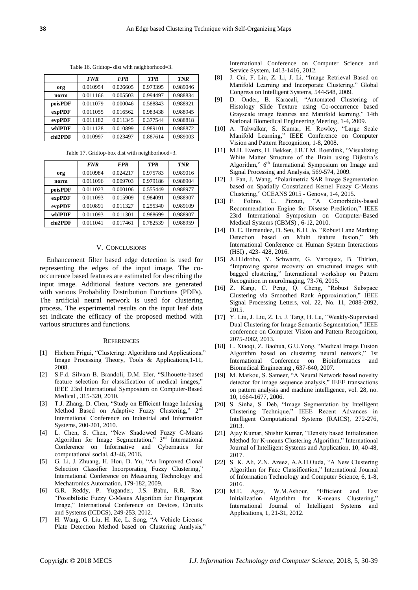|         | <b>FNR</b> | <b>FPR</b> | <b>TPR</b> | <b>TNR</b> |
|---------|------------|------------|------------|------------|
| org     | 0.010954   | 0.026605   | 0.973395   | 0.989046   |
| norm    | 0.011166   | 0.005503   | 0.994497   | 0.988834   |
| poisPDF | 0.011079   | 0.000046   | 0.588843   | 0.988921   |
| expPDF  | 0.011055   | 0.016562   | 0.983438   | 0.988945   |
| evpPDF  | 0.011182   | 0.011345   | 0.377544   | 0.988818   |
| whIPDF  | 0.011128   | 0.010899   | 0.989101   | 0.988872   |
| chi2PDF | 0.010997   | 0.023497   | 0.887614   | 0.989003   |

Table 16. Gridtop- dist with neighborhood=3.

Table 17. Gridtop-box dist with neighborhood=3.

|         | <b>FNR</b> | <b>FPR</b> | <b>TPR</b> | <b>TNR</b> |
|---------|------------|------------|------------|------------|
| org     | 0.010984   | 0.024217   | 0.975783   | 0.989016   |
| norm    | 0.011096   | 0.009703   | 0.979186   | 0.988904   |
| poisPDF | 0.011023   | 0.000106   | 0.555449   | 0.988977   |
| expPDF  | 0.011093   | 0.015909   | 0.984091   | 0.988907   |
| evpPDF  | 0.010891   | 0.011327   | 0.255340   | 0.989109   |
| whIPDF  | 0.011093   | 0.011301   | 0.988699   | 0.988907   |
| chi2PDF | 0.011041   | 0.017461   | 0.782539   | 0.988959   |

## V. CONCLUSIONS

Enhancement filter based edge detection is used for representing the edges of the input image. The cooccurrence based features are estimated for describing the input image. Additional feature vectors are generated with various Probability Distribution Functions (PDFs). The artificial neural network is used for clustering process. The experimental results on the input leaf data set indicate the efficacy of the proposed method with various structures and functions.

#### **REFERENCES**

- [1] Hichem Frigui, "Clustering: Algorithms and Applications," Image Processing Theory, Tools & Applications,1-11, 2008.
- [2] S.F.d. Silvam B. Brandoli, D.M. Eler, "Silhouette-based feature selection for classification of medical images," [IEEE 23rd International Symposium](http://ieeexplore.ieee.org/xpl/mostRecentIssue.jsp?punumber=6032141) on Computer-Based [Medical](http://ieeexplore.ieee.org/xpl/mostRecentIssue.jsp?punumber=6032141) , 315-320, 2010.
- [3] T.J. Zhang, D. Chen, "Study on Efficient Image Indexing Method Based on Adaptive Fuzzy Clustering," 2<sup>nd</sup> International Conference on Industrial and Information Systems, 200-201, 2010.
- [4] L. Chen, S. Chen, "New Shadowed Fuzzy C-Means Algorithm for Image Segmentation," 3rd International Conference on Informative and Cybernatics for computational social, 43-46, 2016.
- [5] G. Li, J. Zhuang, H. Hou, D. Yu, "An Improved Clonal Selection Classifier Incorporating Fuzzy Clustering," International Conference on Measuring Technology and Mechatronics Automation, 179-182, 2009.
- [6] G.R. Reddy, P. Yugander, J.S. Babu, R.R. Rao, "Possibilistic Fuzzy C-Means Algorithm for Fingerprint Image," [International Conference on Devices, Circuits](http://ieeexplore.ieee.org/xpl/mostRecentIssue.jsp?punumber=6180033)  [and Systems \(ICDCS\),](http://ieeexplore.ieee.org/xpl/mostRecentIssue.jsp?punumber=6180033) 249-253, 2012.
- [7] H. Wang, G. Liu, H. Ke, L. Song, "A Vehicle License Plate Detection Method based on Clustering Analysis,"

[International Conference on Computer Science and](http://ieeexplore.ieee.org/xpl/mostRecentIssue.jsp?punumber=6392590)  [Service System,](http://ieeexplore.ieee.org/xpl/mostRecentIssue.jsp?punumber=6392590) 1413-1416, 2012.

- [8] J. Cui, F. Liu, Z. Li, J. Li, "Image Retrieval Based on Manifold Learning and Incorporate Clustering," Global Congress on Intelligent Systems, 544-548, 2009.
- [9] D. Onder, B. Karacali, "Automated Clustering of Histology Slide Texture using Co-occurrence based Grayscale image features and Manifold learning," [14th](http://ieeexplore.ieee.org/xpl/mostRecentIssue.jsp?punumber=5075164)  [National Biomedical Engineering Meeting,](http://ieeexplore.ieee.org/xpl/mostRecentIssue.jsp?punumber=5075164) 1-4, 2009.
- [10] A. Talwalkar, S. Kumar, H. Rowley, "Large Scale Manifold Learning," [IEEE Conference on Computer](http://ieeexplore.ieee.org/xpl/mostRecentIssue.jsp?punumber=4558014)  [Vision and Pattern Recognition,](http://ieeexplore.ieee.org/xpl/mostRecentIssue.jsp?punumber=4558014) 1-8, 2008.
- [11] M.H. Everts, H. Bekker, J.B.T.M. Roerdink, "Visualizing White Matter Structure of the Brain using Dijkstra's Algorithm," 6<sup>th</sup> International Symposium on Image and Signal Processing and Analysis, 569-574, 2009.
- [12] J. Fan, J. Wang, "Polarimetric SAR Image Segmentation based on Spatially Constrianed Kernel Fuzzy C-Means Clustering,[" OCEANS 2015 -](http://ieeexplore.ieee.org/xpl/mostRecentIssue.jsp?punumber=7227859) Genova, 1-4, 2015.
- [13] F. Folino, C. Pizzuti, "A Comorbidity-based Recommendation Engine for Disease Prediction," [IEEE](http://ieeexplore.ieee.org/xpl/mostRecentIssue.jsp?punumber=6032141)  [23rd International Symposium on Computer-Based](http://ieeexplore.ieee.org/xpl/mostRecentIssue.jsp?punumber=6032141)  [Medical Systems \(CBMS\)](http://ieeexplore.ieee.org/xpl/mostRecentIssue.jsp?punumber=6032141) , 6-12, 2010.
- [14] D. C. Hernandez, D. Seo, K.H. Jo, "Robust Lane Marking Detection based on Multi feature fusion," [9th](http://ieeexplore.ieee.org/xpl/mostRecentIssue.jsp?punumber=7523844)  [International Conference on Human System Interactions](http://ieeexplore.ieee.org/xpl/mostRecentIssue.jsp?punumber=7523844)  [\(HSI\)](http://ieeexplore.ieee.org/xpl/mostRecentIssue.jsp?punumber=7523844) , 423- 428, 2016.
- [15] A.H.Idrobo, Y. Schwartz, G. Varoquax, B. Thirion, "Improving sparse recovery on structured images with bagged clustering," International workshop on Pattern Recognition in neuroImaging, 73-76, 2015.
- [16] Z. Kang, C. Peng, Q. Cheng, "Robust Subspace Clustering via Smoothed Rank Approximation," IEEE Signal Processing Letters, vol. 22, No. 11, 2088-2092, 2015.
- [17] Y. Liu, J. Liu, Z. Li, J. Tang, H. Lu, "Weakly-Supervised Dual Clustering for Image Semantic Segmentation," IEEE conference on Computer Vision and Pattern Recognition, 2075-2082, 2013.
- [18] L. Xiaoqi, Z. Baohua, G.U.Yong, "Medical Image Fusion Algorithm based on clustering neural network," [1st](http://ieeexplore.ieee.org/xpl/mostRecentIssue.jsp?punumber=4272484)  [International Conference on Bioinformatics and](http://ieeexplore.ieee.org/xpl/mostRecentIssue.jsp?punumber=4272484)  [Biomedical Engineering](http://ieeexplore.ieee.org/xpl/mostRecentIssue.jsp?punumber=4272484) , 637-640, 2007.
- [19] M. Markou, S. Sameer, "A Neural Network based novelty detector for image sequence analysis," IEEE transactions on pattern analysis and machine intelligence, vol. 28, no. 10, 1664-1677, 2006.
- [20] S. Sinha, S. Deb, "Image Segmentation by Intelligent Clustering Technique," IEEE Recent Advances in Intelligent Computational Systems (RAICS), 272-276, 2013.
- [21] Ajay Kumar, Shishir Kumar, "Density based Initialization Method for K-means Clustering Algorithm," International Journal of Intelligent Systems and Application, 10, 40-48, 2017.
- [22] S. K. Ali, Z.N. Azeez, A.A.H.Ouda, "A New Clustering Algorithm for Face Classification," International Journal of Information Technology and Computer Science, 6, 1-8, 2016.
- [23] M.E. Agza, W.M.Ashour, "Efficient and Fast Initialization Algorithm for International Journal of Intelligent Systems and Applications, 1, 21-31, 2012.